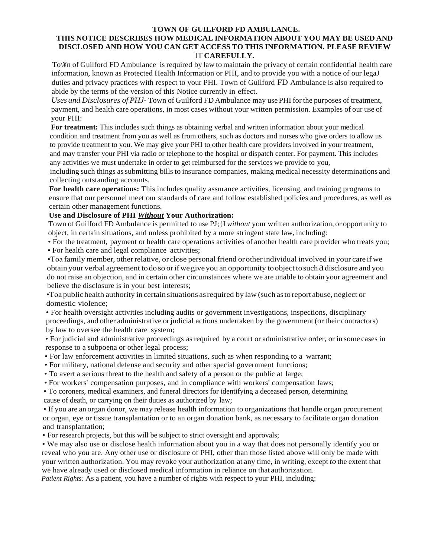## **TOWN OF GUILFORD FD AMBULANCE.**

## **THIS NOTICE DESCRIBES HOW MEDICAL INFORMATION ABOUT YOU MAY BE USED AND DISCLOSED AND HOW YOU CAN GET ACCESS TO THIS INFORMATION. PLEASE REVIEW**  IT **CAREFULLY.**

To\¥n of Guilford FD Ambulance is required by law to maintain the privacy of certain confidential health care information, known as Protected Health Information or PHI, and to provide you with a notice of our legaJ duties and privacy practices with respect to your PHI. Town of Guilford FD Ambulance is also required to abide by the terms of the version of this Notice currently in effect.

*Uses and Disclosures of PHJ-* Town of Guilford FD Ambulance may use PHI for the purposes of treatment, payment, and health care operations, in most cases without your written permission. Examples of our use of your PHI:

**For treatment:** This includes such things as obtaining verbal and written information about your medical condition and treatment from you as well as from others, such as doctors and nurses who give orders to allow us to provide treatment to you. We may give your PHI to other health care providers involved in your treatment, and may transfer your PHI via radio or telephone to the hospital or dispatch center. For payment. This includes any activities we must undertake in order to get reimbursed for the services we provide to you,

including such things assubmitting bills to insurance companies, making medical necessity determinations and collecting outstanding accounts.

**For health care operations:** This includes quality assurance activities, licensing, and training programs to ensure that our personnel meet our standards of care and follow established policies and procedures, as well as certain other management functions.

## **Use and Disclosure of PHI** *Without* **Your Authorization:**

Town of Guilford FD Ambulance is permitted to use PJ;{I *without* your written authorization, or opportunity to object, in certain situations, and unless prohibited by a more stringent state law, including:

• For the treatment, payment or health care operations activities of another health care provider who treats you; • For health care and legal compliance activities;

•Toa family member, otherrelative, or close personal friend orotherindividual involved in your care if we obtain your verbal agreement todo so orifwegiveyou an opportunity toobject tosuch a disclosure and you do not raise an objection, and in certain other circumstances where we are unable to obtain your agreement and believe the disclosure is in your best interests;

•Toa public health authority in certain situations asrequired by law (such asto report abuse, neglect or domestic violence;

• For health oversight activities including audits or government investigations, inspections, disciplinary proceedings, and other administrative orjudicial actions undertaken by the government (or their contractors) by law to oversee the health care system;

• For judicial and administrative proceedings as required by a court or administrative order, or in some cases in response to a subpoena or other legal process;

- For law enforcement activities in limited situations, such as when responding to a warrant;
- For military, national defense and security and other special government functions;
- To avert a serious threat to the health and safety of a person or the public at large;
- For workers' compensation purposes, and in compliance with workers' compensation laws;

• To coroners, medical examiners, and funeral directors for identifying a deceased person, determining cause of death, or carrying on their duties as authorized by law;

• If you are an organ donor, we may release health information to organizations that handle organ procurement or organ, eye or tissue transplantation or to an organ donation bank, as necessary to facilitate organ donation and transplantation;

• For research projects, but this will be subject to strict oversight and approvals;

• We may also use or disclose health information about you in a way that does not personally identify you or reveal who you are. Any other use or disclosure of PHI, other than those listed above will only be made with your written authorization. You may revoke your authorization at any time, in writing, except *to* the extent that we have already used or disclosed medical information in reliance on that authorization.

*Patient Rights:* As a patient, you have a number of rights with respect to your PHI, including: